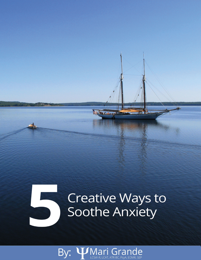# Creative Ways to Soothe Anxiety

**In the case** 

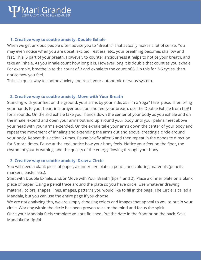### **1. Creative way to soothe anxiety: Double Exhale**

When we get anxious people often advise you to "Breath." That actually makes a lot of sense. You may even notice when you are upset, excited, restless, etc., your breathing becomes shallow and [fast. This IS part of your](mailto:mari@marigrande.com) breath. However, to counter anxiousness it helps to notice your breath, and take an inhale. As you inhale count how long it is. However long it is double that count as you exhale. For example, breathe in to the count of 3 and exhale to the count of 6. Do this for 3-6 cycles, then notice how you feel.

This is a quick way to soothe anxiety and reset your autonomic nervous system.

### **2. Creative way to soothe anxiety: Move with Your Breath**

Standing with your feet on the ground, your arms by your side, as if in a Yoga "Tree" pose. Then bring your hands to your heart in a prayer position and feel your breath, use the Double Exhale from tip#1 for 3 rounds. On the 3rd exhale take your hands down the center of your body as you exhale and on the inhale, extend and open your arms out and up around your body until your palms meet above your head with your arms extended. On the exhale take your arms down the center of your body and repeat the movement of inhaling and extending the arms out and above, creating a circle around your body. Repeat this action 6 times. Pause briefly after 6 and then repeat in the opposite direction for 6 more times. Pause at the end, notice how your body feels. Notice your feet on the floor, the rhythm of your breathing, and the quality of the energy flowing through your body.

### **3. Creative way to soothe anxiety: Draw a Circle**

You will need a blank piece of paper, a dinner size plate, a pencil, and coloring materials (pencils, markers, pastel, etc.).

Start with Double Exhale, and/or Move with Your Breath (tips 1 and 2). Place a dinner plate on a blank piece of paper. Using a pencil trace around the plate so you have circle. Use whatever drawing material, colors, shapes, lines, images, patterns you would like to fill in the page. The Circle is called a Mandala, but you can use the entire page if you choose.

We are not analyzing this, we are simply choosing colors and images that appeal to you to put in your circle. Working within the circle has been proven to calm the mind and focus the spirit. Once your Mandala feels complete you are finished. Put the date in the front or on the back. Save

Mandala for tip #4.